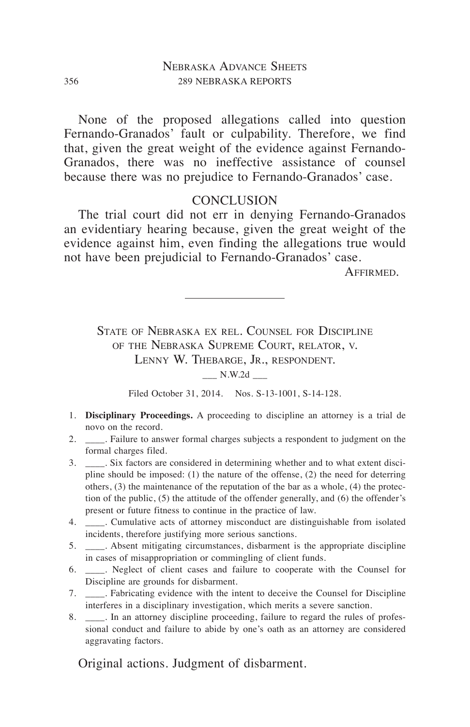None of the proposed allegations called into question Fernando-Granados' fault or culpability. Therefore, we find that, given the great weight of the evidence against Fernando-Granados, there was no ineffective assistance of counsel because there was no prejudice to Fernando-Granados' case.

# **CONCLUSION**

The trial court did not err in denying Fernando-Granados an evidentiary hearing because, given the great weight of the evidence against him, even finding the allegations true would not have been prejudicial to Fernando-Granados' case.

Affirmed.

State of Nebraska ex rel. Counsel for Discipline of the Nebraska Supreme Court, relator, v. LENNY W. THEBARGE, JR., RESPONDENT.

 $N.W.2d$ 

Filed October 31, 2014. Nos. S-13-1001, S-14-128.

- 1. **Disciplinary Proceedings.** A proceeding to discipline an attorney is a trial de novo on the record.
- 2. \_\_\_\_. Failure to answer formal charges subjects a respondent to judgment on the formal charges filed.
- 3. \_\_\_\_. Six factors are considered in determining whether and to what extent discipline should be imposed: (1) the nature of the offense, (2) the need for deterring others, (3) the maintenance of the reputation of the bar as a whole, (4) the protection of the public, (5) the attitude of the offender generally, and (6) the offender's present or future fitness to continue in the practice of law.
- 4. \_\_\_\_. Cumulative acts of attorney misconduct are distinguishable from isolated incidents, therefore justifying more serious sanctions.
- 5. \_\_\_\_. Absent mitigating circumstances, disbarment is the appropriate discipline in cases of misappropriation or commingling of client funds.
- 6. \_\_\_\_. Neglect of client cases and failure to cooperate with the Counsel for Discipline are grounds for disbarment.
- 7. \_\_\_\_. Fabricating evidence with the intent to deceive the Counsel for Discipline interferes in a disciplinary investigation, which merits a severe sanction.
- 8. \_\_\_\_. In an attorney discipline proceeding, failure to regard the rules of professional conduct and failure to abide by one's oath as an attorney are considered aggravating factors.

Original actions. Judgment of disbarment.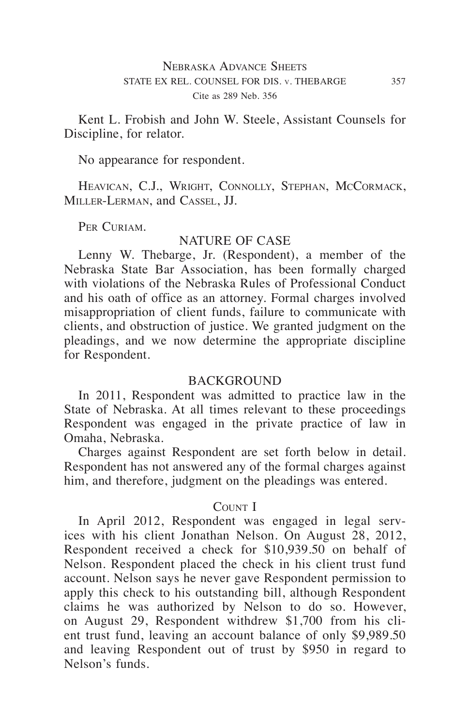Kent L. Frobish and John W. Steele, Assistant Counsels for Discipline, for relator.

No appearance for respondent.

Heavican, C.J., Wright, Connolly, Stephan, McCormack, Miller-Lerman, and Cassel, JJ.

PER CURIAM.

# NATURE OF CASE

Lenny W. Thebarge, Jr. (Respondent), a member of the Nebraska State Bar Association, has been formally charged with violations of the Nebraska Rules of Professional Conduct and his oath of office as an attorney. Formal charges involved misappropriation of client funds, failure to communicate with clients, and obstruction of justice. We granted judgment on the pleadings, and we now determine the appropriate discipline for Respondent.

### **BACKGROUND**

In 2011, Respondent was admitted to practice law in the State of Nebraska. At all times relevant to these proceedings Respondent was engaged in the private practice of law in Omaha, Nebraska.

Charges against Respondent are set forth below in detail. Respondent has not answered any of the formal charges against him, and therefore, judgment on the pleadings was entered.

### COUNT I

In April 2012, Respondent was engaged in legal services with his client Jonathan Nelson. On August 28, 2012, Respondent received a check for \$10,939.50 on behalf of Nelson. Respondent placed the check in his client trust fund account. Nelson says he never gave Respondent permission to apply this check to his outstanding bill, although Respondent claims he was authorized by Nelson to do so. However, on August 29, Respondent withdrew \$1,700 from his client trust fund, leaving an account balance of only \$9,989.50 and leaving Respondent out of trust by \$950 in regard to Nelson's funds.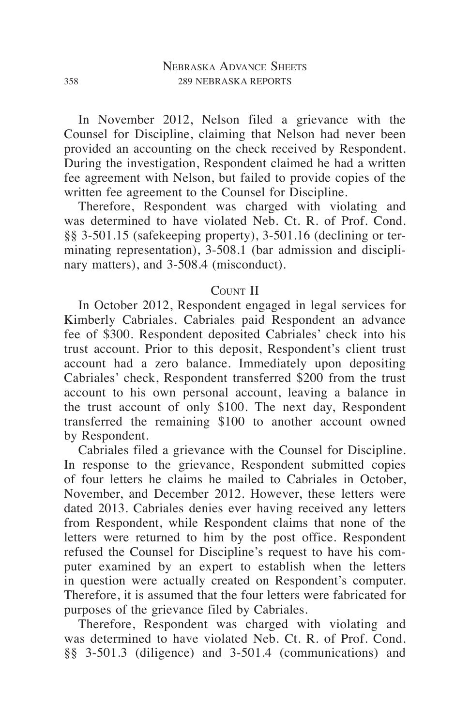In November 2012, Nelson filed a grievance with the Counsel for Discipline, claiming that Nelson had never been provided an accounting on the check received by Respondent. During the investigation, Respondent claimed he had a written fee agreement with Nelson, but failed to provide copies of the written fee agreement to the Counsel for Discipline.

Therefore, Respondent was charged with violating and was determined to have violated Neb. Ct. R. of Prof. Cond. §§ 3-501.15 (safekeeping property), 3-501.16 (declining or terminating representation), 3-508.1 (bar admission and disciplinary matters), and 3-508.4 (misconduct).

# COUNT II

In October 2012, Respondent engaged in legal services for Kimberly Cabriales. Cabriales paid Respondent an advance fee of \$300. Respondent deposited Cabriales' check into his trust account. Prior to this deposit, Respondent's client trust account had a zero balance. Immediately upon depositing Cabriales' check, Respondent transferred \$200 from the trust account to his own personal account, leaving a balance in the trust account of only \$100. The next day, Respondent transferred the remaining \$100 to another account owned by Respondent.

Cabriales filed a grievance with the Counsel for Discipline. In response to the grievance, Respondent submitted copies of four letters he claims he mailed to Cabriales in October, November, and December 2012. However, these letters were dated 2013. Cabriales denies ever having received any letters from Respondent, while Respondent claims that none of the letters were returned to him by the post office. Respondent refused the Counsel for Discipline's request to have his computer examined by an expert to establish when the letters in question were actually created on Respondent's computer. Therefore, it is assumed that the four letters were fabricated for purposes of the grievance filed by Cabriales.

Therefore, Respondent was charged with violating and was determined to have violated Neb. Ct. R. of Prof. Cond. §§ 3-501.3 (diligence) and 3-501.4 (communications) and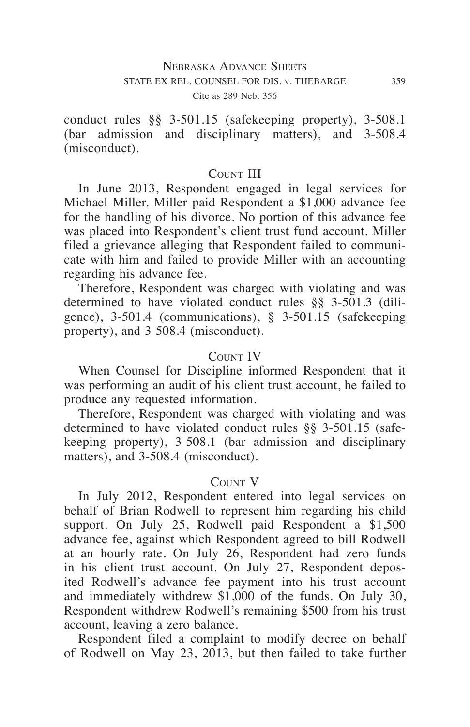conduct rules §§ 3-501.15 (safekeeping property), 3-508.1 (bar admission and disciplinary matters), and 3-508.4 (misconduct).

### COUNT III

In June 2013, Respondent engaged in legal services for Michael Miller. Miller paid Respondent a \$1,000 advance fee for the handling of his divorce. No portion of this advance fee was placed into Respondent's client trust fund account. Miller filed a grievance alleging that Respondent failed to communicate with him and failed to provide Miller with an accounting regarding his advance fee.

Therefore, Respondent was charged with violating and was determined to have violated conduct rules §§ 3-501.3 (diligence), 3-501.4 (communications), § 3-501.15 (safekeeping property), and 3-508.4 (misconduct).

# COUNT IV

When Counsel for Discipline informed Respondent that it was performing an audit of his client trust account, he failed to produce any requested information.

Therefore, Respondent was charged with violating and was determined to have violated conduct rules §§ 3-501.15 (safekeeping property), 3-508.1 (bar admission and disciplinary matters), and 3-508.4 (misconduct).

#### COUNT V

In July 2012, Respondent entered into legal services on behalf of Brian Rodwell to represent him regarding his child support. On July 25, Rodwell paid Respondent a \$1,500 advance fee, against which Respondent agreed to bill Rodwell at an hourly rate. On July 26, Respondent had zero funds in his client trust account. On July 27, Respondent deposited Rodwell's advance fee payment into his trust account and immediately withdrew \$1,000 of the funds. On July 30, Respondent withdrew Rodwell's remaining \$500 from his trust account, leaving a zero balance.

Respondent filed a complaint to modify decree on behalf of Rodwell on May 23, 2013, but then failed to take further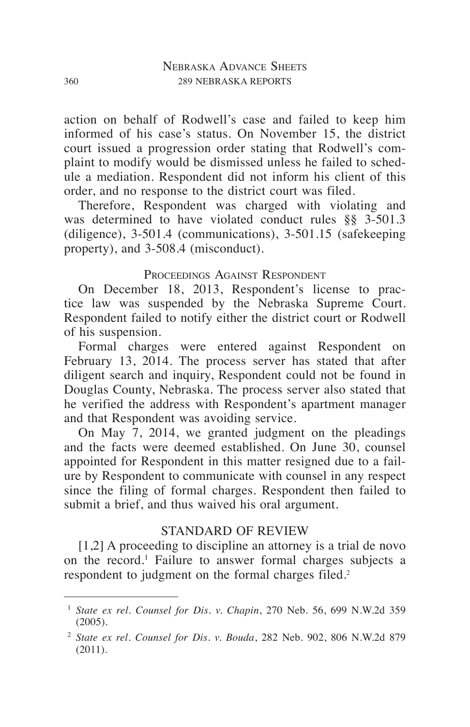action on behalf of Rodwell's case and failed to keep him informed of his case's status. On November 15, the district court issued a progression order stating that Rodwell's complaint to modify would be dismissed unless he failed to schedule a mediation. Respondent did not inform his client of this order, and no response to the district court was filed.

Therefore, Respondent was charged with violating and was determined to have violated conduct rules §§ 3-501.3 (diligence), 3-501.4 (communications), 3-501.15 (safekeeping property), and 3-508.4 (misconduct).

# PROCEEDINGS AGAINST RESPONDENT

On December 18, 2013, Respondent's license to practice law was suspended by the Nebraska Supreme Court. Respondent failed to notify either the district court or Rodwell of his suspension.

Formal charges were entered against Respondent on February 13, 2014. The process server has stated that after diligent search and inquiry, Respondent could not be found in Douglas County, Nebraska. The process server also stated that he verified the address with Respondent's apartment manager and that Respondent was avoiding service.

On May 7, 2014, we granted judgment on the pleadings and the facts were deemed established. On June 30, counsel appointed for Respondent in this matter resigned due to a failure by Respondent to communicate with counsel in any respect since the filing of formal charges. Respondent then failed to submit a brief, and thus waived his oral argument.

# STANDARD OF REVIEW

[1,2] A proceeding to discipline an attorney is a trial de novo on the record.<sup>1</sup> Failure to answer formal charges subjects a respondent to judgment on the formal charges filed.<sup>2</sup>

<sup>1</sup> *State ex rel. Counsel for Dis. v. Chapin*, 270 Neb. 56, 699 N.W.2d 359 (2005).

<sup>2</sup> *State ex rel. Counsel for Dis. v. Bouda*, 282 Neb. 902, 806 N.W.2d 879 (2011).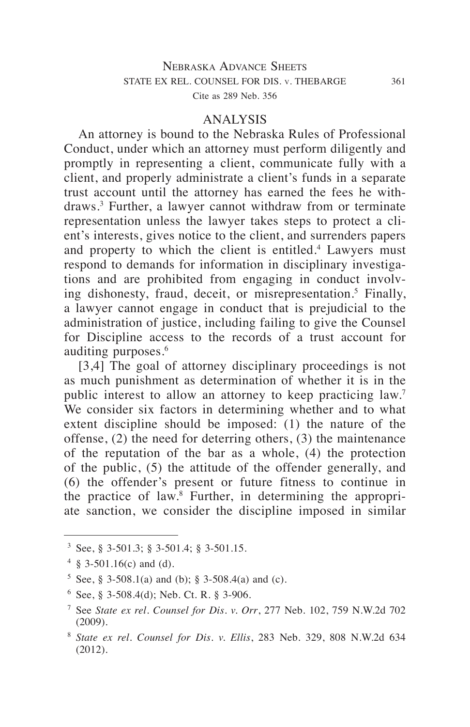#### ANALYSIS

An attorney is bound to the Nebraska Rules of Professional Conduct, under which an attorney must perform diligently and promptly in representing a client, communicate fully with a client, and properly administrate a client's funds in a separate trust account until the attorney has earned the fees he withdraws.3 Further, a lawyer cannot withdraw from or terminate representation unless the lawyer takes steps to protect a client's interests, gives notice to the client, and surrenders papers and property to which the client is entitled.<sup>4</sup> Lawyers must respond to demands for information in disciplinary investigations and are prohibited from engaging in conduct involving dishonesty, fraud, deceit, or misrepresentation.<sup>5</sup> Finally, a lawyer cannot engage in conduct that is prejudicial to the administration of justice, including failing to give the Counsel for Discipline access to the records of a trust account for auditing purposes.<sup>6</sup>

[3,4] The goal of attorney disciplinary proceedings is not as much punishment as determination of whether it is in the public interest to allow an attorney to keep practicing law.<sup>7</sup> We consider six factors in determining whether and to what extent discipline should be imposed: (1) the nature of the offense, (2) the need for deterring others, (3) the maintenance of the reputation of the bar as a whole, (4) the protection of the public, (5) the attitude of the offender generally, and (6) the offender's present or future fitness to continue in the practice of law.8 Further, in determining the appropriate sanction, we consider the discipline imposed in similar

<sup>3</sup> See, § 3-501.3; § 3-501.4; § 3-501.15.

 $4 \& 3-501.16(c)$  and (d).

 $5$  See, § 3-508.1(a) and (b); § 3-508.4(a) and (c).

 $6$  See, § 3-508.4(d); Neb. Ct. R. § 3-906.

<sup>7</sup> See *State ex rel. Counsel for Dis. v. Orr*, 277 Neb. 102, 759 N.W.2d 702 (2009).

<sup>8</sup> *State ex rel. Counsel for Dis. v. Ellis*, 283 Neb. 329, 808 N.W.2d 634 (2012).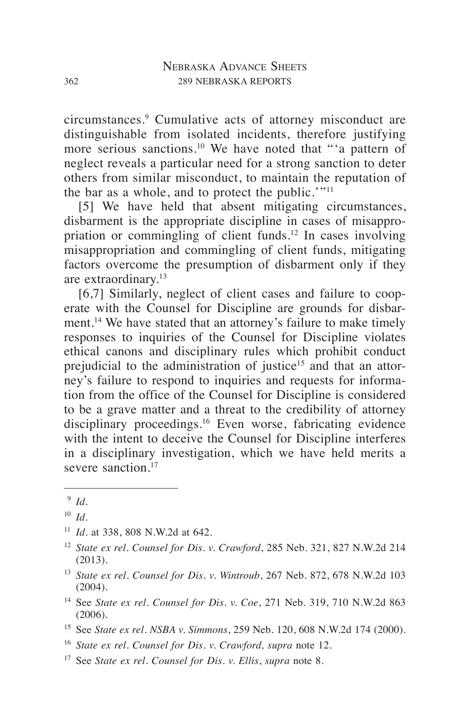circumstances.9 Cumulative acts of attorney misconduct are distinguishable from isolated incidents, therefore justifying more serious sanctions.10 We have noted that "'a pattern of neglect reveals a particular need for a strong sanction to deter others from similar misconduct, to maintain the reputation of the bar as a whole, and to protect the public. $\cdot$ "<sup>11</sup>

[5] We have held that absent mitigating circumstances, disbarment is the appropriate discipline in cases of misappropriation or commingling of client funds.12 In cases involving misappropriation and commingling of client funds, mitigating factors overcome the presumption of disbarment only if they are extraordinary.13

[6,7] Similarly, neglect of client cases and failure to cooperate with the Counsel for Discipline are grounds for disbarment.<sup>14</sup> We have stated that an attorney's failure to make timely responses to inquiries of the Counsel for Discipline violates ethical canons and disciplinary rules which prohibit conduct prejudicial to the administration of justice<sup>15</sup> and that an attorney's failure to respond to inquiries and requests for information from the office of the Counsel for Discipline is considered to be a grave matter and a threat to the credibility of attorney disciplinary proceedings.16 Even worse, fabricating evidence with the intent to deceive the Counsel for Discipline interferes in a disciplinary investigation, which we have held merits a severe sanction.<sup>17</sup>

- <sup>16</sup> *State ex rel. Counsel for Dis. v. Crawford, supra* note 12.
- <sup>17</sup> See *State ex rel. Counsel for Dis. v. Ellis*, *supra* note 8.

<sup>9</sup> *Id.*

<sup>10</sup> *Id.*

<sup>11</sup> *Id*. at 338, 808 N.W.2d at 642.

<sup>12</sup> *State ex rel. Counsel for Dis. v. Crawford*, 285 Neb. 321, 827 N.W.2d 214 (2013).

<sup>13</sup> *State ex rel. Counsel for Dis. v. Wintroub*, 267 Neb. 872, 678 N.W.2d 103 (2004).

<sup>14</sup> See *State ex rel. Counsel for Dis. v. Coe*, 271 Neb. 319, 710 N.W.2d 863 (2006).

<sup>15</sup> See *State ex rel. NSBA v. Simmons*, 259 Neb. 120, 608 N.W.2d 174 (2000).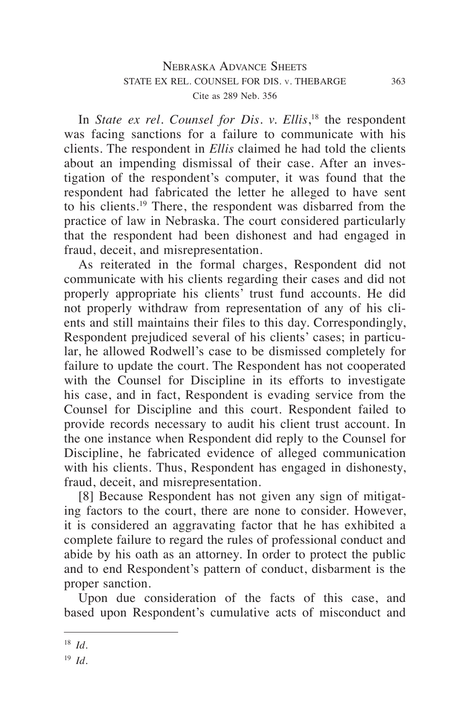# Nebraska Advance Sheets STATE EX REL. COUNSEL FOR DIS. v. THEBARGE 363 Cite as 289 Neb. 356

In *State ex rel. Counsel for Dis. v. Ellis*, 18 the respondent was facing sanctions for a failure to communicate with his clients. The respondent in *Ellis* claimed he had told the clients about an impending dismissal of their case. After an investigation of the respondent's computer, it was found that the respondent had fabricated the letter he alleged to have sent to his clients.19 There, the respondent was disbarred from the practice of law in Nebraska. The court considered particularly that the respondent had been dishonest and had engaged in fraud, deceit, and misrepresentation.

As reiterated in the formal charges, Respondent did not communicate with his clients regarding their cases and did not properly appropriate his clients' trust fund accounts. He did not properly withdraw from representation of any of his clients and still maintains their files to this day. Correspondingly, Respondent prejudiced several of his clients' cases; in particular, he allowed Rodwell's case to be dismissed completely for failure to update the court. The Respondent has not cooperated with the Counsel for Discipline in its efforts to investigate his case, and in fact, Respondent is evading service from the Counsel for Discipline and this court. Respondent failed to provide records necessary to audit his client trust account. In the one instance when Respondent did reply to the Counsel for Discipline, he fabricated evidence of alleged communication with his clients. Thus, Respondent has engaged in dishonesty, fraud, deceit, and misrepresentation.

[8] Because Respondent has not given any sign of mitigating factors to the court, there are none to consider. However, it is considered an aggravating factor that he has exhibited a complete failure to regard the rules of professional conduct and abide by his oath as an attorney. In order to protect the public and to end Respondent's pattern of conduct, disbarment is the proper sanction.

Upon due consideration of the facts of this case, and based upon Respondent's cumulative acts of misconduct and

<sup>18</sup> *Id.*

<sup>19</sup> *Id.*